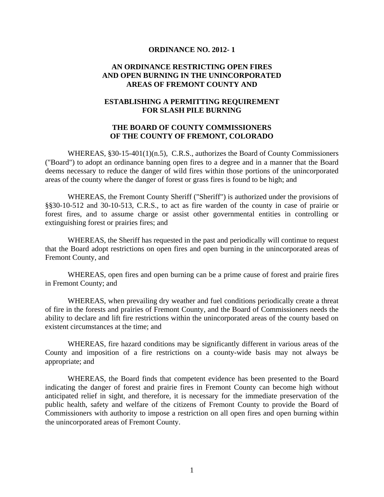#### **ORDINANCE NO. 2012- 1**

#### **AN ORDINANCE RESTRICTING OPEN FIRES AND OPEN BURNING IN THE UNINCORPORATED AREAS OF FREMONT COUNTY AND**

#### **ESTABLISHING A PERMITTING REQUIREMENT FOR SLASH PILE BURNING**

#### **THE BOARD OF COUNTY COMMISSIONERS OF THE COUNTY OF FREMONT, COLORADO**

WHEREAS,  $\S 30-15-401(1)(n.5)$ , C.R.S., authorizes the Board of County Commissioners ("Board") to adopt an ordinance banning open fires to a degree and in a manner that the Board deems necessary to reduce the danger of wild fires within those portions of the unincorporated areas of the county where the danger of forest or grass fires is found to be high; and

 WHEREAS, the Fremont County Sheriff ("Sheriff") is authorized under the provisions of §§30-10-512 and 30-10-513, C.R.S., to act as fire warden of the county in case of prairie or forest fires, and to assume charge or assist other governmental entities in controlling or extinguishing forest or prairies fires; and

 WHEREAS, the Sheriff has requested in the past and periodically will continue to request that the Board adopt restrictions on open fires and open burning in the unincorporated areas of Fremont County, and

 WHEREAS, open fires and open burning can be a prime cause of forest and prairie fires in Fremont County; and

 WHEREAS, when prevailing dry weather and fuel conditions periodically create a threat of fire in the forests and prairies of Fremont County, and the Board of Commissioners needs the ability to declare and lift fire restrictions within the unincorporated areas of the county based on existent circumstances at the time; and

 WHEREAS, fire hazard conditions may be significantly different in various areas of the County and imposition of a fire restrictions on a county-wide basis may not always be appropriate; and

 WHEREAS, the Board finds that competent evidence has been presented to the Board indicating the danger of forest and prairie fires in Fremont County can become high without anticipated relief in sight, and therefore, it is necessary for the immediate preservation of the public health, safety and welfare of the citizens of Fremont County to provide the Board of Commissioners with authority to impose a restriction on all open fires and open burning within the unincorporated areas of Fremont County.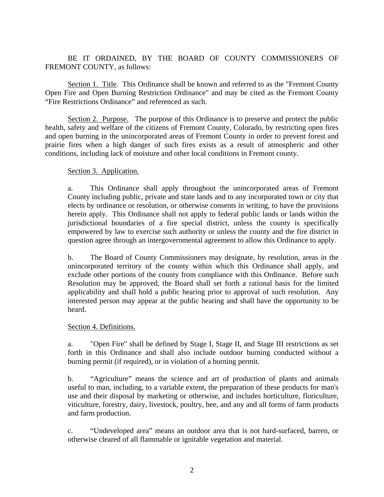# BE IT ORDAINED, BY THE BOARD OF COUNTY COMMISSIONERS OF FREMONT COUNTY, as follows:

 Section 1. Title. This Ordinance shall be known and referred to as the "Fremont County Open Fire and Open Burning Restriction Ordinance" and may be cited as the Fremont County "Fire Restrictions Ordinance" and referenced as such.

Section 2. Purpose. The purpose of this Ordinance is to preserve and protect the public health, safety and welfare of the citizens of Fremont County, Colorado, by restricting open fires and open burning in the unincorporated areas of Fremont County in order to prevent forest and prairie fires when a high danger of such fires exists as a result of atmospheric and other conditions, including lack of moisture and other local conditions in Fremont county.

#### Section 3. Application.

a. This Ordinance shall apply throughout the unincorporated areas of Fremont County including public, private and state lands and to any incorporated town or city that elects by ordinance or resolution, or otherwise consents in writing, to have the provisions herein apply. This Ordinance shall not apply to federal public lands or lands within the jurisdictional boundaries of a fire special district, unless the county is specifically empowered by law to exercise such authority or unless the county and the fire district in question agree through an intergovernmental agreement to allow this Ordinance to apply.

b. The Board of County Commissioners may designate, by resolution, areas in the unincorporated territory of the county within which this Ordinance shall apply, and exclude other portions of the county from compliance with this Ordinance. Before such Resolution may be approved, the Board shall set forth a rational basis for the limited applicability and shall hold a public hearing prior to approval of such resolution. Any interested person may appear at the public hearing and shall have the opportunity to be heard.

#### Section 4. Definitions.

 a. "Open Fire" shall be defined by Stage I, Stage II, and Stage III restrictions as set forth in this Ordinance and shall also include outdoor burning conducted without a burning permit (if required), or in violation of a burning permit.

b. "Agriculture" means the science and art of production of plants and animals useful to man, including, to a variable extent, the preparation of these products for man's use and their disposal by marketing or otherwise, and includes horticulture, floriculture, viticulture, forestry, dairy, livestock, poultry, bee, and any and all forms of farm products and farm production.

c. "Undeveloped area" means an outdoor area that is not hard-surfaced, barren, or otherwise cleared of all flammable or ignitable vegetation and material.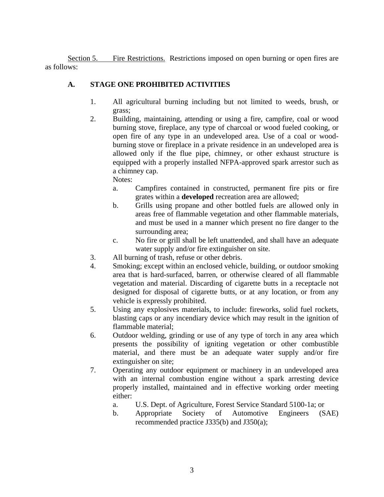Section 5. Fire Restrictions. Restrictions imposed on open burning or open fires are as follows:

# **A. STAGE ONE PROHIBITED ACTIVITIES**

- 1. All agricultural burning including but not limited to weeds, brush, or grass;
- 2. Building, maintaining, attending or using a fire, campfire, coal or wood burning stove, fireplace, any type of charcoal or wood fueled cooking, or open fire of any type in an undeveloped area. Use of a coal or woodburning stove or fireplace in a private residence in an undeveloped area is allowed only if the flue pipe, chimney, or other exhaust structure is equipped with a properly installed NFPA-approved spark arrestor such as a chimney cap.

Notes:

- a. Campfires contained in constructed, permanent fire pits or fire grates within a **developed** recreation area are allowed;
- b. Grills using propane and other bottled fuels are allowed only in areas free of flammable vegetation and other flammable materials, and must be used in a manner which present no fire danger to the surrounding area;
- c. No fire or grill shall be left unattended, and shall have an adequate water supply and/or fire extinguisher on site.
- 3. All burning of trash, refuse or other debris.
- 4. Smoking; except within an enclosed vehicle, building, or outdoor smoking area that is hard-surfaced, barren, or otherwise cleared of all flammable vegetation and material. Discarding of cigarette butts in a receptacle not designed for disposal of cigarette butts, or at any location, or from any vehicle is expressly prohibited.
- 5. Using any explosives materials, to include: fireworks, solid fuel rockets, blasting caps or any incendiary device which may result in the ignition of flammable material;
- 6. Outdoor welding, grinding or use of any type of torch in any area which presents the possibility of igniting vegetation or other combustible material, and there must be an adequate water supply and/or fire extinguisher on site;
- 7. Operating any outdoor equipment or machinery in an undeveloped area with an internal combustion engine without a spark arresting device properly installed, maintained and in effective working order meeting either:
	- a. U.S. Dept. of Agriculture, Forest Service Standard 5100-1a; or
	- b. Appropriate Society of Automotive Engineers (SAE) recommended practice J335(b) and J350(a);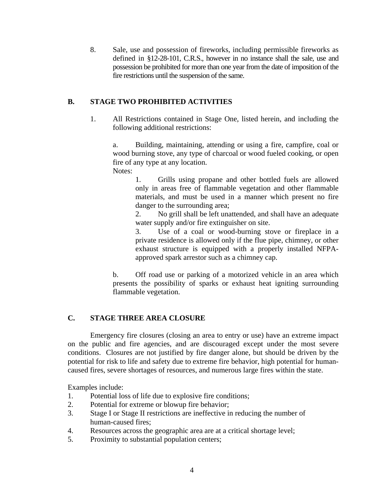8. Sale, use and possession of fireworks, including permissible fireworks as defined in §12-28-101, C.R.S., however in no instance shall the sale, use and possession be prohibited for more than one year from the date of imposition of the fire restrictions until the suspension of the same.

# **B. STAGE TWO PROHIBITED ACTIVITIES**

1. All Restrictions contained in Stage One, listed herein, and including the following additional restrictions:

a. Building, maintaining, attending or using a fire, campfire, coal or wood burning stove, any type of charcoal or wood fueled cooking, or open fire of any type at any location. Notes:

> 1. Grills using propane and other bottled fuels are allowed only in areas free of flammable vegetation and other flammable materials, and must be used in a manner which present no fire danger to the surrounding area;

> 2. No grill shall be left unattended, and shall have an adequate water supply and/or fire extinguisher on site.

> 3. Use of a coal or wood-burning stove or fireplace in a private residence is allowed only if the flue pipe, chimney, or other exhaust structure is equipped with a properly installed NFPAapproved spark arrestor such as a chimney cap.

 b. Off road use or parking of a motorized vehicle in an area which presents the possibility of sparks or exhaust heat igniting surrounding flammable vegetation.

## **C. STAGE THREE AREA CLOSURE**

Emergency fire closures (closing an area to entry or use) have an extreme impact on the public and fire agencies, and are discouraged except under the most severe conditions. Closures are not justified by fire danger alone, but should be driven by the potential for risk to life and safety due to extreme fire behavior, high potential for humancaused fires, severe shortages of resources, and numerous large fires within the state.

Examples include:

- 1. Potential loss of life due to explosive fire conditions;
- 2. Potential for extreme or blowup fire behavior;
- 3. Stage I or Stage II restrictions are ineffective in reducing the number of human-caused fires;
- 4. Resources across the geographic area are at a critical shortage level;
- 5. Proximity to substantial population centers;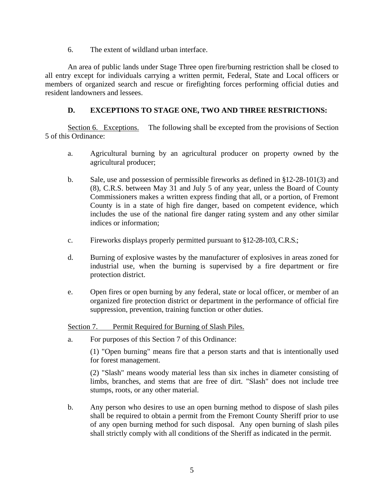6. The extent of wildland urban interface.

 An area of public lands under Stage Three open fire/burning restriction shall be closed to all entry except for individuals carrying a written permit, Federal, State and Local officers or members of organized search and rescue or firefighting forces performing official duties and resident landowners and lessees.

# **D. EXCEPTIONS TO STAGE ONE, TWO AND THREE RESTRICTIONS:**

 Section 6. Exceptions. The following shall be excepted from the provisions of Section 5 of this Ordinance:

- a. Agricultural burning by an agricultural producer on property owned by the agricultural producer;
- b. Sale, use and possession of permissible fireworks as defined in §12-28-101(3) and (8), C.R.S. between May 31 and July 5 of any year, unless the Board of County Commissioners makes a written express finding that all, or a portion, of Fremont County is in a state of high fire danger, based on competent evidence, which includes the use of the national fire danger rating system and any other similar indices or information;
- c. Fireworks displays properly permitted pursuant to §12-28-103, C.R.S.;
- d. Burning of explosive wastes by the manufacturer of explosives in areas zoned for industrial use, when the burning is supervised by a fire department or fire protection district.
- e. Open fires or open burning by any federal, state or local officer, or member of an organized fire protection district or department in the performance of official fire suppression, prevention, training function or other duties.

## Section 7. Permit Required for Burning of Slash Piles.

a. For purposes of this Section 7 of this Ordinance:

(1) "Open burning" means fire that a person starts and that is intentionally used for forest management.

(2) "Slash" means woody material less than six inches in diameter consisting of limbs, branches, and stems that are free of dirt. "Slash" does not include tree stumps, roots, or any other material.

b. Any person who desires to use an open burning method to dispose of slash piles shall be required to obtain a permit from the Fremont County Sheriff prior to use of any open burning method for such disposal. Any open burning of slash piles shall strictly comply with all conditions of the Sheriff as indicated in the permit.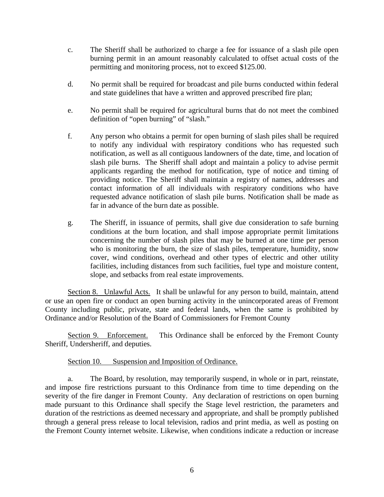- c. The Sheriff shall be authorized to charge a fee for issuance of a slash pile open burning permit in an amount reasonably calculated to offset actual costs of the permitting and monitoring process, not to exceed \$125.00.
- d. No permit shall be required for broadcast and pile burns conducted within federal and state guidelines that have a written and approved prescribed fire plan;
- e. No permit shall be required for agricultural burns that do not meet the combined definition of "open burning" of "slash."
- f. Any person who obtains a permit for open burning of slash piles shall be required to notify any individual with respiratory conditions who has requested such notification, as well as all contiguous landowners of the date, time, and location of slash pile burns. The Sheriff shall adopt and maintain a policy to advise permit applicants regarding the method for notification, type of notice and timing of providing notice. The Sheriff shall maintain a registry of names, addresses and contact information of all individuals with respiratory conditions who have requested advance notification of slash pile burns. Notification shall be made as far in advance of the burn date as possible.
- g. The Sheriff, in issuance of permits, shall give due consideration to safe burning conditions at the burn location, and shall impose appropriate permit limitations concerning the number of slash piles that may be burned at one time per person who is monitoring the burn, the size of slash piles, temperature, humidity, snow cover, wind conditions, overhead and other types of electric and other utility facilities, including distances from such facilities, fuel type and moisture content, slope, and setbacks from real estate improvements.

Section 8. Unlawful Acts. It shall be unlawful for any person to build, maintain, attend or use an open fire or conduct an open burning activity in the unincorporated areas of Fremont County including public, private, state and federal lands, when the same is prohibited by Ordinance and/or Resolution of the Board of Commissioners for Fremont County

Section 9. Enforcement. This Ordinance shall be enforced by the Fremont County Sheriff, Undersheriff, and deputies.

#### Section 10. Suspension and Imposition of Ordinance.

a. The Board, by resolution, may temporarily suspend, in whole or in part, reinstate, and impose fire restrictions pursuant to this Ordinance from time to time depending on the severity of the fire danger in Fremont County. Any declaration of restrictions on open burning made pursuant to this Ordinance shall specify the Stage level restriction, the parameters and duration of the restrictions as deemed necessary and appropriate, and shall be promptly published through a general press release to local television, radios and print media, as well as posting on the Fremont County internet website. Likewise, when conditions indicate a reduction or increase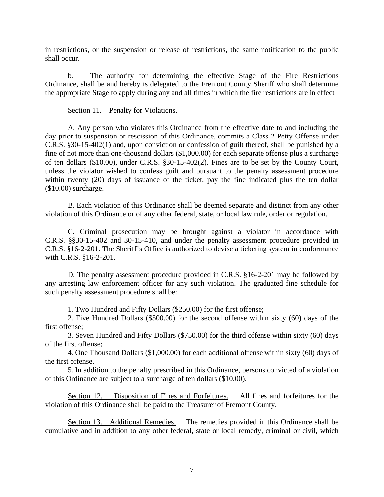in restrictions, or the suspension or release of restrictions, the same notification to the public shall occur.

b. The authority for determining the effective Stage of the Fire Restrictions Ordinance, shall be and hereby is delegated to the Fremont County Sheriff who shall determine the appropriate Stage to apply during any and all times in which the fire restrictions are in effect

#### Section 11. Penalty for Violations.

A. Any person who violates this Ordinance from the effective date to and including the day prior to suspension or rescission of this Ordinance, commits a Class 2 Petty Offense under C.R.S. §30-15-402(1) and, upon conviction or confession of guilt thereof, shall be punished by a fine of not more than one-thousand dollars (\$1,000.00) for each separate offense plus a surcharge of ten dollars (\$10.00), under C.R.S. §30-15-402(2). Fines are to be set by the County Court, unless the violator wished to confess guilt and pursuant to the penalty assessment procedure within twenty (20) days of issuance of the ticket, pay the fine indicated plus the ten dollar (\$10.00) surcharge.

B. Each violation of this Ordinance shall be deemed separate and distinct from any other violation of this Ordinance or of any other federal, state, or local law rule, order or regulation.

C. Criminal prosecution may be brought against a violator in accordance with C.R.S. §§30-15-402 and 30-15-410, and under the penalty assessment procedure provided in C.R.S. §16-2-201. The Sheriff's Office is authorized to devise a ticketing system in conformance with C.R.S. §16-2-201.

D. The penalty assessment procedure provided in C.R.S. §16-2-201 may be followed by any arresting law enforcement officer for any such violation. The graduated fine schedule for such penalty assessment procedure shall be:

1. Two Hundred and Fifty Dollars (\$250.00) for the first offense;

2. Five Hundred Dollars (\$500.00) for the second offense within sixty (60) days of the first offense;

3. Seven Hundred and Fifty Dollars (\$750.00) for the third offense within sixty (60) days of the first offense;

4. One Thousand Dollars (\$1,000.00) for each additional offense within sixty (60) days of the first offense.

5. In addition to the penalty prescribed in this Ordinance, persons convicted of a violation of this Ordinance are subject to a surcharge of ten dollars (\$10.00).

Section 12. Disposition of Fines and Forfeitures. All fines and forfeitures for the violation of this Ordinance shall be paid to the Treasurer of Fremont County.

Section 13. Additional Remedies. The remedies provided in this Ordinance shall be cumulative and in addition to any other federal, state or local remedy, criminal or civil, which